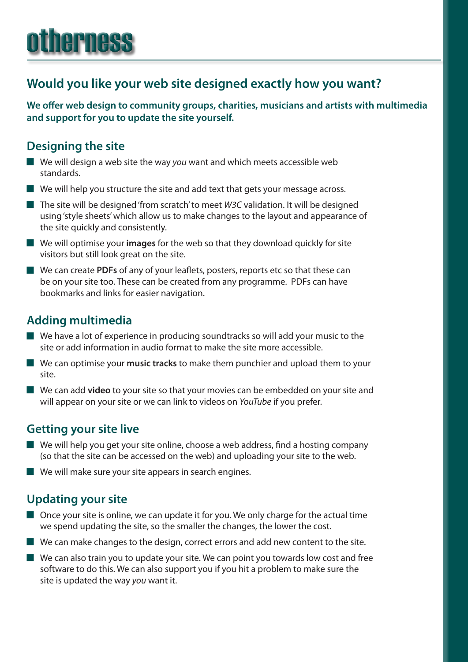# otherness

# **Would you like your web site designed exactly how you want?**

**We offer web design to community groups, charities, musicians and artists with multimedia and support for you to update the site yourself.**

## **Designing the site**

- **J** We will design a web site the way you want and which meets accessible web standards.
- $\blacksquare$  We will help you structure the site and add text that gets your message across.
- **The site will be designed 'from scratch' to meet** *W3C* **validation. It will be designed** using 'style sheets' which allow us to make changes to the layout and appearance of the site quickly and consistently.
- **J** We will optimise your **images** for the web so that they download quickly for site visitors but still look great on the site.
- We can create PDFs of any of your leaflets, posters, reports etc so that these can be on your site too. These can be created from any programme. PDFs can have bookmarks and links for easier navigation.

# **Adding multimedia**

- $\blacksquare$  We have a lot of experience in producing soundtracks so will add your music to the site or add information in audio format to make the site more accessible.
- **J** We can optimise your music tracks to make them punchier and upload them to your site.
- **J** We can add **video** to your site so that your movies can be embedded on your site and will appear on your site or we can link to videos on *YouTube* if you prefer.

## **Getting your site live**

- $\blacksquare$  We will help you get your site online, choose a web address, find a hosting company (so that the site can be accessed on the web) and uploading your site to the web.
- $\blacksquare$  We will make sure your site appears in search engines.

# **Updating your site**

- $\blacksquare$  Once your site is online, we can update it for you. We only charge for the actual time we spend updating the site, so the smaller the changes, the lower the cost.
- $\blacksquare$  We can make changes to the design, correct errors and add new content to the site.
- $\blacksquare$  We can also train you to update your site. We can point you towards low cost and free software to do this. We can also support you if you hit a problem to make sure the site is updated the way *you* want it.